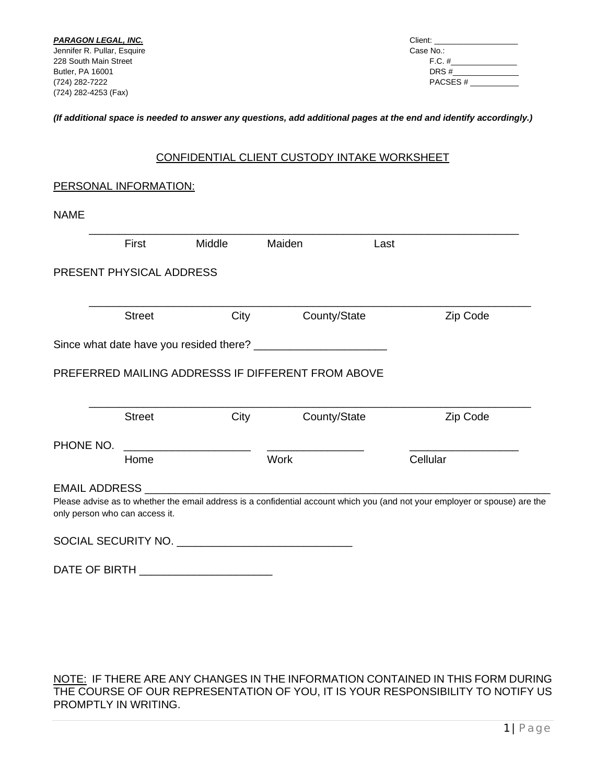Butler, PA 16001 DRS #\_\_\_\_\_\_\_\_\_\_\_\_\_\_\_ (724) 282-7222 PACSES # \_\_\_\_\_\_\_\_\_\_\_

#### *(If additional space is needed to answer any questions, add additional pages at the end and identify accordingly.)*

### CONFIDENTIAL CLIENT CUSTODY INTAKE WORKSHEET

# PERSONAL INFORMATION:

| NAML |
|------|
|------|

| First                                                                     | Middle | Maiden                                                                                                                      | Last     |
|---------------------------------------------------------------------------|--------|-----------------------------------------------------------------------------------------------------------------------------|----------|
| PRESENT PHYSICAL ADDRESS                                                  |        |                                                                                                                             |          |
| <b>Street</b>                                                             | City   | County/State                                                                                                                | Zip Code |
|                                                                           |        |                                                                                                                             |          |
|                                                                           |        | PREFERRED MAILING ADDRESSS IF DIFFERENT FROM ABOVE                                                                          |          |
|                                                                           |        |                                                                                                                             |          |
| <b>Street</b>                                                             | City   | County/State                                                                                                                | Zip Code |
|                                                                           |        |                                                                                                                             |          |
| PHONE NO.<br>Home                                                         |        | <b>Work</b>                                                                                                                 | Cellular |
|                                                                           |        |                                                                                                                             |          |
| EMAIL ADDRESS _________________________<br>only person who can access it. |        | Please advise as to whether the email address is a confidential account which you (and not your employer or spouse) are the |          |

DATE OF BIRTH \_\_\_\_\_\_\_\_\_\_\_\_\_\_\_\_\_\_\_\_\_\_

NOTE: IF THERE ARE ANY CHANGES IN THE INFORMATION CONTAINED IN THIS FORM DURING THE COURSE OF OUR REPRESENTATION OF YOU, IT IS YOUR RESPONSIBILITY TO NOTIFY US PROMPTLY IN WRITING.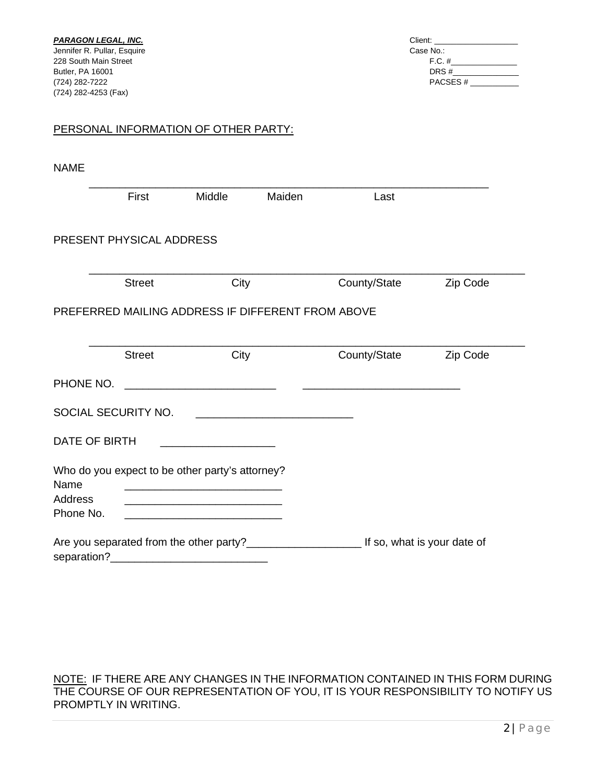### PERSONAL INFORMATION OF OTHER PARTY:

| <b>NAME</b>          |                          |                                                                                                                                                                          |        |              |                             |
|----------------------|--------------------------|--------------------------------------------------------------------------------------------------------------------------------------------------------------------------|--------|--------------|-----------------------------|
|                      | First                    | Middle                                                                                                                                                                   | Maiden | Last         |                             |
|                      | PRESENT PHYSICAL ADDRESS |                                                                                                                                                                          |        |              |                             |
|                      | <b>Street</b>            | City                                                                                                                                                                     |        | County/State | Zip Code                    |
|                      |                          | PREFERRED MAILING ADDRESS IF DIFFERENT FROM ABOVE                                                                                                                        |        |              |                             |
|                      | <b>Street</b>            | City                                                                                                                                                                     |        | County/State | Zip Code                    |
| PHONE NO.            |                          |                                                                                                                                                                          |        |              |                             |
|                      | SOCIAL SECURITY NO.      |                                                                                                                                                                          |        |              |                             |
| <b>DATE OF BIRTH</b> |                          |                                                                                                                                                                          |        |              |                             |
| Name                 |                          | Who do you expect to be other party's attorney?<br><u> 1989 - Johann Barn, mars ann an t-Amhain an t-Amhain an t-Amhain an t-Amhain an t-Amhain an t-Amhain an t-Amh</u> |        |              |                             |
| Address<br>Phone No. |                          | <u> 1989 - Johann Barn, mars and de Branch Barn, mars and de Branch Barn, mars and de Branch Barn, mars and de Br</u>                                                    |        |              |                             |
|                      |                          | separation?<br>university and the separation of the separation of the separation of the separation of the separation of the s                                            |        |              | If so, what is your date of |

NOTE: IF THERE ARE ANY CHANGES IN THE INFORMATION CONTAINED IN THIS FORM DURING THE COURSE OF OUR REPRESENTATION OF YOU, IT IS YOUR RESPONSIBILITY TO NOTIFY US PROMPTLY IN WRITING.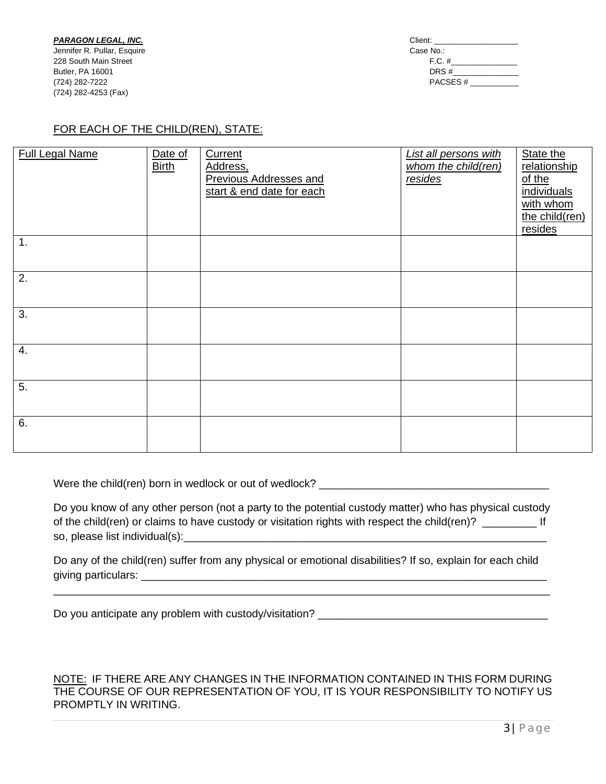**PARAGON LEGAL, INC.** Jennifer R. Pullar, Esquire 228 South Main Street **Butler, PA 16001** (724) 282-7222 (724) 282-4253 (Fax)

| Client:   |  |
|-----------|--|
| Case No.: |  |
| $F.C.$ #  |  |
| DRS#      |  |
| PACSES#   |  |
|           |  |

## FOR EACH OF THE CHILD(REN), STATE:

| <b>Full Legal Name</b> | Date of<br><b>Birth</b> | Current<br>Address,<br><b>Previous Addresses and</b><br>start & end date for each | <b>List all persons with</b><br>whom the child(ren)<br>resides | State the<br>relationship<br>of the<br>individuals<br>with whom<br>the child(ren)<br>resides |
|------------------------|-------------------------|-----------------------------------------------------------------------------------|----------------------------------------------------------------|----------------------------------------------------------------------------------------------|
| $\mathbf 1$ .          |                         |                                                                                   |                                                                |                                                                                              |
| 2.                     |                         |                                                                                   |                                                                |                                                                                              |
| 3.                     |                         |                                                                                   |                                                                |                                                                                              |
| $\overline{4}$ .       |                         |                                                                                   |                                                                |                                                                                              |
| 5.                     |                         |                                                                                   |                                                                |                                                                                              |
| 6.                     |                         |                                                                                   |                                                                |                                                                                              |

Were the child(ren) born in wedlock or out of wedlock? \_\_\_\_\_\_\_\_\_\_\_\_\_\_\_\_\_\_\_\_\_\_\_\_\_\_\_\_\_\_\_\_\_\_\_\_\_\_

Do you know of any other person (not a party to the potential custody matter) who has physical custody of the child(ren) or claims to have custody or visitation rights with respect the child(ren)? \_\_\_\_\_\_\_\_\_\_\_\_\_\_\_ If so, please list individual(s):\_\_\_\_\_\_\_\_\_\_\_\_\_\_\_\_\_\_\_\_\_\_\_\_\_\_\_\_\_\_\_\_\_\_\_\_\_\_\_\_\_\_\_\_\_\_\_\_\_\_\_\_\_\_\_\_\_\_\_\_

Do any of the child(ren) suffer from any physical or emotional disabilities? If so, explain for each child giving particulars: \_\_\_\_\_\_\_\_\_\_\_\_\_\_\_\_\_\_\_\_\_\_\_\_\_\_\_\_\_\_\_\_\_\_\_\_\_\_\_\_\_\_\_\_\_\_\_\_\_\_\_\_\_\_\_\_\_\_\_\_\_\_\_\_\_\_\_

\_\_\_\_\_\_\_\_\_\_\_\_\_\_\_\_\_\_\_\_\_\_\_\_\_\_\_\_\_\_\_\_\_\_\_\_\_\_\_\_\_\_\_\_\_\_\_\_\_\_\_\_\_\_\_\_\_\_\_\_\_\_\_\_\_\_\_\_\_\_\_\_\_\_\_\_\_\_\_\_\_\_

Do you anticipate any problem with custody/visitation? \_\_\_\_\_\_\_\_\_\_\_\_\_\_\_\_\_\_\_\_\_\_\_\_\_\_\_\_\_\_\_\_\_\_\_\_\_\_

#### NOTE: IF THERE ARE ANY CHANGES IN THE INFORMATION CONTAINED IN THIS FORM DURING THE COURSE OF OUR REPRESENTATION OF YOU, IT IS YOUR RESPONSIBILITY TO NOTIFY US PROMPTLY IN WRITING.